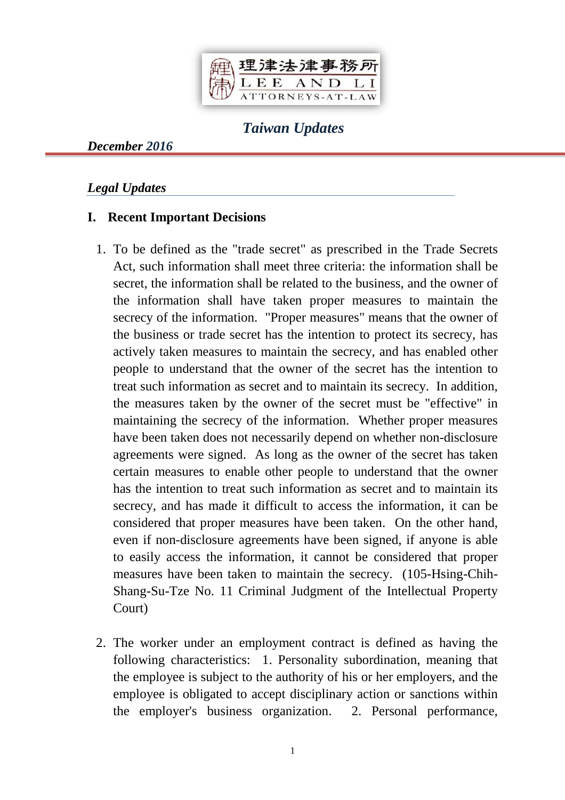

## *Taiwan Updates*

*December 2016*

### *Legal Updates*

### **I. Recent Important Decisions**

- 1. To be defined as the "trade secret" as prescribed in the Trade Secrets Act, such information shall meet three criteria: the information shall be secret, the information shall be related to the business, and the owner of the information shall have taken proper measures to maintain the secrecy of the information. "Proper measures" means that the owner of the business or trade secret has the intention to protect its secrecy, has actively taken measures to maintain the secrecy, and has enabled other people to understand that the owner of the secret has the intention to treat such information as secret and to maintain its secrecy. In addition, the measures taken by the owner of the secret must be "effective" in maintaining the secrecy of the information. Whether proper measures have been taken does not necessarily depend on whether non-disclosure agreements were signed. As long as the owner of the secret has taken certain measures to enable other people to understand that the owner has the intention to treat such information as secret and to maintain its secrecy, and has made it difficult to access the information, it can be considered that proper measures have been taken. On the other hand, even if non-disclosure agreements have been signed, if anyone is able to easily access the information, it cannot be considered that proper measures have been taken to maintain the secrecy. (105-Hsing-Chih-Shang-Su-Tze No. 11 Criminal Judgment of the Intellectual Property Court)
- 2. The worker under an employment contract is defined as having the following characteristics: 1. Personality subordination, meaning that the employee is subject to the authority of his or her employers, and the employee is obligated to accept disciplinary action or sanctions within the employer's business organization. 2. Personal performance,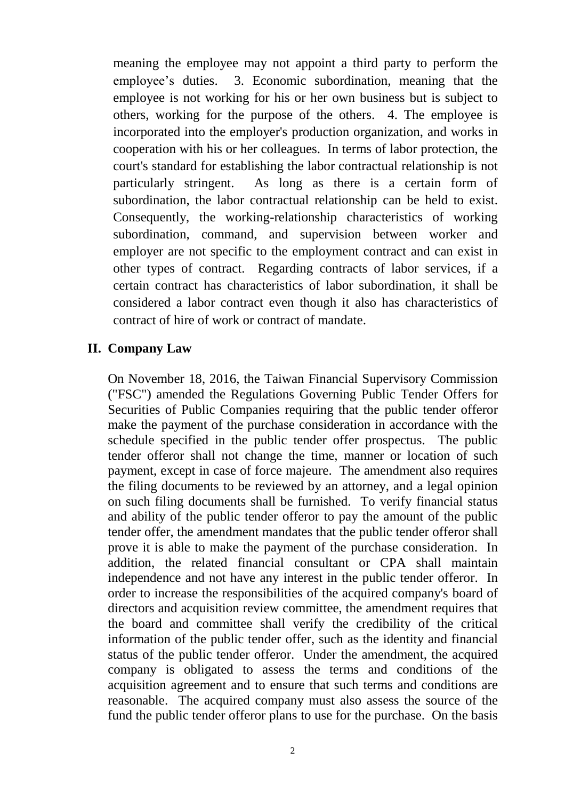meaning the employee may not appoint a third party to perform the employee's duties. 3. Economic subordination, meaning that the employee is not working for his or her own business but is subject to others, working for the purpose of the others. 4. The employee is incorporated into the employer's production organization, and works in cooperation with his or her colleagues. In terms of labor protection, the court's standard for establishing the labor contractual relationship is not particularly stringent. As long as there is a certain form of subordination, the labor contractual relationship can be held to exist. Consequently, the working-relationship characteristics of working subordination, command, and supervision between worker and employer are not specific to the employment contract and can exist in other types of contract. Regarding contracts of labor services, if a certain contract has characteristics of labor subordination, it shall be considered a labor contract even though it also has characteristics of contract of hire of work or contract of mandate.

#### **II. Company Law**

On November 18, 2016, the Taiwan Financial Supervisory Commission ("FSC") amended the Regulations Governing Public Tender Offers for Securities of Public Companies requiring that the public tender offeror make the payment of the purchase consideration in accordance with the schedule specified in the public tender offer prospectus. The public tender offeror shall not change the time, manner or location of such payment, except in case of force majeure. The amendment also requires the filing documents to be reviewed by an attorney, and a legal opinion on such filing documents shall be furnished. To verify financial status and ability of the public tender offeror to pay the amount of the public tender offer, the amendment mandates that the public tender offeror shall prove it is able to make the payment of the purchase consideration. In addition, the related financial consultant or CPA shall maintain independence and not have any interest in the public tender offeror. In order to increase the responsibilities of the acquired company's board of directors and acquisition review committee, the amendment requires that the board and committee shall verify the credibility of the critical information of the public tender offer, such as the identity and financial status of the public tender offeror. Under the amendment, the acquired company is obligated to assess the terms and conditions of the acquisition agreement and to ensure that such terms and conditions are reasonable. The acquired company must also assess the source of the fund the public tender offeror plans to use for the purchase. On the basis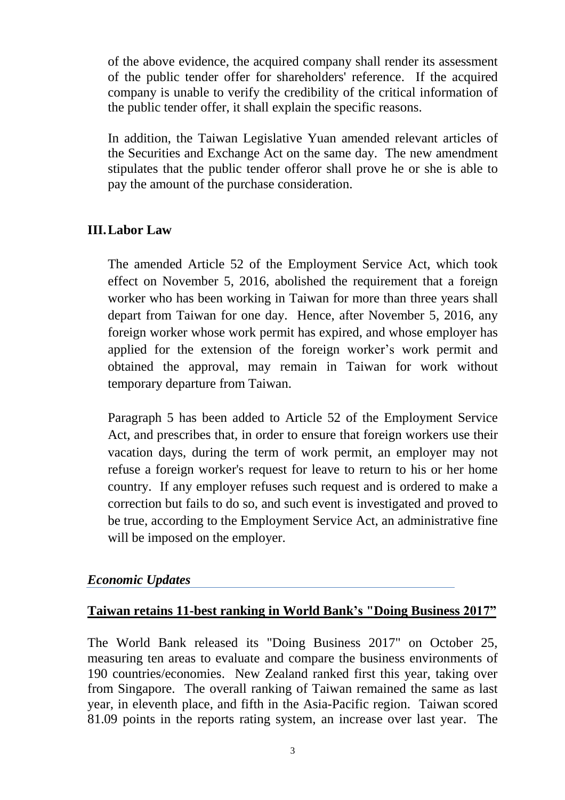of the above evidence, the acquired company shall render its assessment of the public tender offer for shareholders' reference. If the acquired company is unable to verify the credibility of the critical information of the public tender offer, it shall explain the specific reasons.

In addition, the Taiwan Legislative Yuan amended relevant articles of the Securities and Exchange Act on the same day. The new amendment stipulates that the public tender offeror shall prove he or she is able to pay the amount of the purchase consideration.

### **III.Labor Law**

The amended Article 52 of the Employment Service Act, which took effect on November 5, 2016, abolished the requirement that a foreign worker who has been working in Taiwan for more than three years shall depart from Taiwan for one day. Hence, after November 5, 2016, any foreign worker whose work permit has expired, and whose employer has applied for the extension of the foreign worker's work permit and obtained the approval, may remain in Taiwan for work without temporary departure from Taiwan.

Paragraph 5 has been added to Article 52 of the Employment Service Act, and prescribes that, in order to ensure that foreign workers use their vacation days, during the term of work permit, an employer may not refuse a foreign worker's request for leave to return to his or her home country. If any employer refuses such request and is ordered to make a correction but fails to do so, and such event is investigated and proved to be true, according to the Employment Service Act, an administrative fine will be imposed on the employer.

### *Economic Updates*

### **Taiwan retains 11-best ranking in World Bank's "Doing Business 2017"**

The World Bank released its "Doing Business 2017" on October 25, measuring ten areas to evaluate and compare the business environments of 190 countries/economies. New Zealand ranked first this year, taking over from Singapore. The overall ranking of Taiwan remained the same as last year, in eleventh place, and fifth in the Asia-Pacific region. Taiwan scored 81.09 points in the reports rating system, an increase over last year. The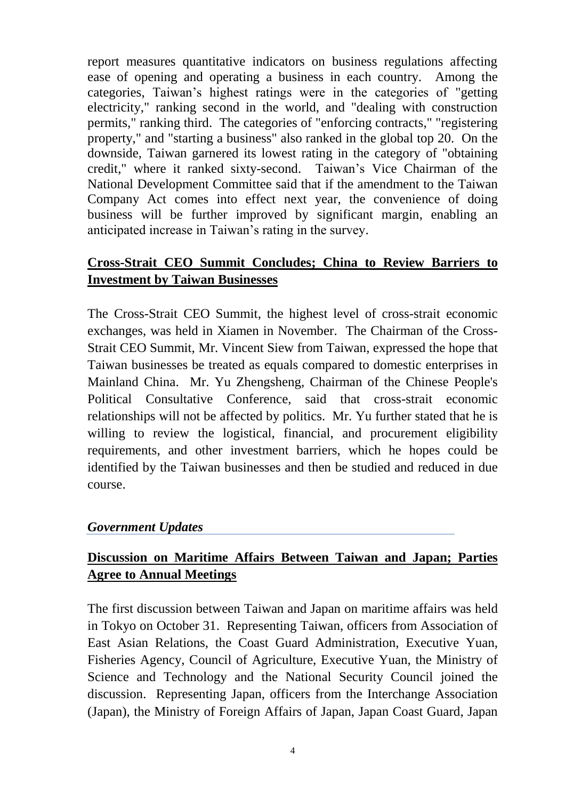report measures quantitative indicators on business regulations affecting ease of opening and operating a business in each country. Among the categories, Taiwan's highest ratings were in the categories of "getting electricity," ranking second in the world, and "dealing with construction permits," ranking third. The categories of "enforcing contracts," "registering property," and "starting a business" also ranked in the global top 20. On the downside, Taiwan garnered its lowest rating in the category of "obtaining credit," where it ranked sixty-second. Taiwan's Vice Chairman of the National Development Committee said that if the amendment to the Taiwan Company Act comes into effect next year, the convenience of doing business will be further improved by significant margin, enabling an anticipated increase in Taiwan's rating in the survey.

# **Cross-Strait CEO Summit Concludes; China to Review Barriers to Investment by Taiwan Businesses**

The Cross-Strait CEO Summit, the highest level of cross-strait economic exchanges, was held in Xiamen in November. The Chairman of the Cross-Strait CEO Summit, Mr. Vincent Siew from Taiwan, expressed the hope that Taiwan businesses be treated as equals compared to domestic enterprises in Mainland China. Mr. Yu Zhengsheng, Chairman of the Chinese People's Political Consultative Conference, said that cross-strait economic relationships will not be affected by politics. Mr. Yu further stated that he is willing to review the logistical, financial, and procurement eligibility requirements, and other investment barriers, which he hopes could be identified by the Taiwan businesses and then be studied and reduced in due course.

### *Government Updates*

## **Discussion on Maritime Affairs Between Taiwan and Japan; Parties Agree to Annual Meetings**

The first discussion between Taiwan and Japan on maritime affairs was held in Tokyo on October 31. Representing Taiwan, officers from Association of East Asian Relations, the Coast Guard Administration, Executive Yuan, Fisheries Agency, Council of Agriculture, Executive Yuan, the Ministry of Science and Technology and the National Security Council joined the discussion. Representing Japan, officers from the Interchange Association (Japan), the Ministry of Foreign Affairs of Japan, Japan Coast Guard, Japan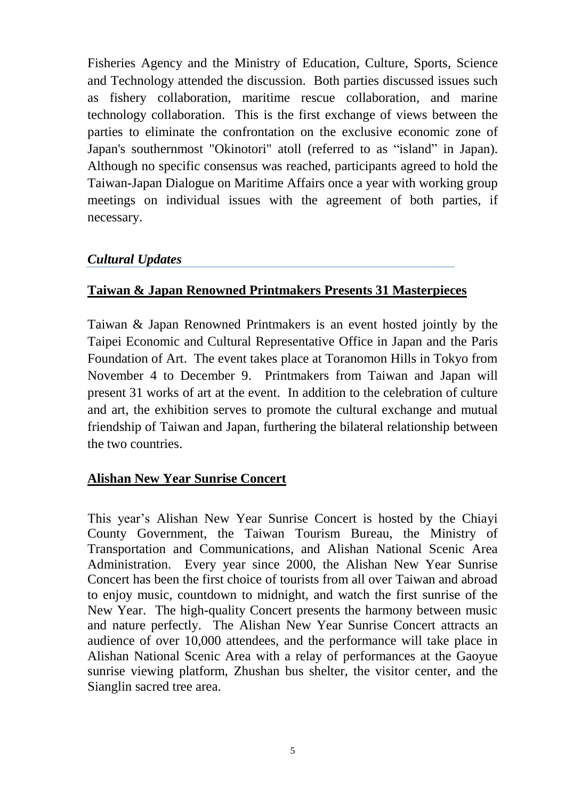Fisheries Agency and the Ministry of Education, Culture, Sports, Science and Technology attended the discussion. Both parties discussed issues such as fishery collaboration, maritime rescue collaboration, and marine technology collaboration. This is the first exchange of views between the parties to eliminate the confrontation on the exclusive economic zone of Japan's southernmost "Okinotori" atoll (referred to as "island" in Japan). Although no specific consensus was reached, participants agreed to hold the Taiwan-Japan Dialogue on Maritime Affairs once a year with working group meetings on individual issues with the agreement of both parties, if necessary.

### *Cultural Updates*

### **Taiwan & Japan Renowned Printmakers Presents 31 Masterpieces**

Taiwan & Japan Renowned Printmakers is an event hosted jointly by the Taipei Economic and Cultural Representative Office in Japan and the Paris Foundation of Art. The event takes place at Toranomon Hills in Tokyo from November 4 to December 9. Printmakers from Taiwan and Japan will present 31 works of art at the event. In addition to the celebration of culture and art, the exhibition serves to promote the cultural exchange and mutual friendship of Taiwan and Japan, furthering the bilateral relationship between the two countries.

### **Alishan New Year Sunrise Concert**

This year's Alishan New Year Sunrise Concert is hosted by the Chiayi County Government, the Taiwan Tourism Bureau, the Ministry of Transportation and Communications, and Alishan National Scenic Area Administration. Every year since 2000, the Alishan New Year Sunrise Concert has been the first choice of tourists from all over Taiwan and abroad to enjoy music, countdown to midnight, and watch the first sunrise of the New Year. The high-quality Concert presents the harmony between music and nature perfectly. The Alishan New Year Sunrise Concert attracts an audience of over 10,000 attendees, and the performance will take place in Alishan National Scenic Area with a relay of performances at the Gaoyue sunrise viewing platform, Zhushan bus shelter, the visitor center, and the Sianglin sacred tree area.